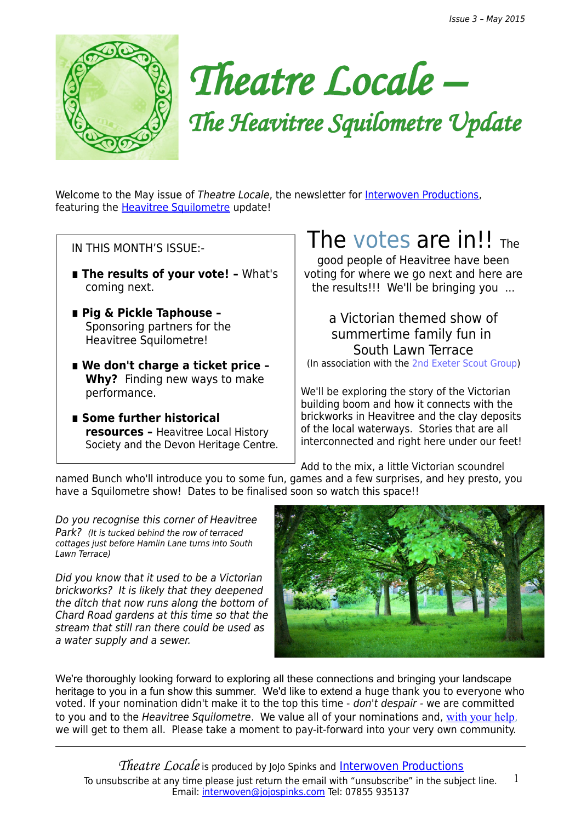

*Theatre Locale –*

*The Heavitree Squilometre Update*

Welcome to the May issue of Theatre Locale, the newsletter for [Interwoven Productions,](http://interwovenproductions.weebly.com/nominate-a-street.html) featuring the [Heavitree Squilometre](http://interwovenproductions.weebly.com/the-heavitree-squilometre.html) update!

IN THIS MONTH'S ISSUE:-

- The results of your vote! What's coming next.
- **∎ Pig & Pickle Taphouse**  Sponsoring partners for the Heavitree Squilometre!
- We don't charge a ticket price -**Why?** Finding new ways to make performance.
- **∎ Some further historical resources –** Heavitree Local History Society and the Devon Heritage Centre.

## The [votes](http://interwovenproductions.weebly.com/nominate-a-street.html) are in!!  $_{The}$

good people of Heavitree have been voting for where we go next and here are the results!!! We'll be bringing you ...

a Victorian themed show of summertime family fun in South Lawn Terrace (In association with the [2nd Exeter Scout Group\)](http://www.exeterscouts.co.uk/)

We'll be exploring the story of the Victorian building boom and how it connects with the brickworks in Heavitree and the clay deposits of the local waterways. Stories that are all interconnected and right here under our feet!

Add to the mix, a little Victorian scoundrel

named Bunch who'll introduce you to some fun, games and a few surprises, and hey presto, you have a Squilometre show! Dates to be finalised soon so watch this space!!

Do you recognise this corner of Heavitree Park? (It is tucked behind the row of terraced cottages just before Hamlin Lane turns into South Lawn Terrace)

Did you know that it used to be a Victorian brickworks? It is likely that they deepened the ditch that now runs along the bottom of Chard Road gardens at this time so that the stream that still ran there could be used as a water supply and a sewer.



We're thoroughly looking forward to exploring all these connections and bringing your landscape heritage to you in a fun show this summer. We'd like to extend a huge thank you to everyone who voted. If your nomination didn't make it to the top this time - don't despair - we are committed to you and to the Heavitree Squilometre. We value all of your nominations and, [with your help](http://interwovenproductions.weebly.com/nominate-a-street.html), we will get to them all. Please take a moment to pay-it-forward into your very own community.